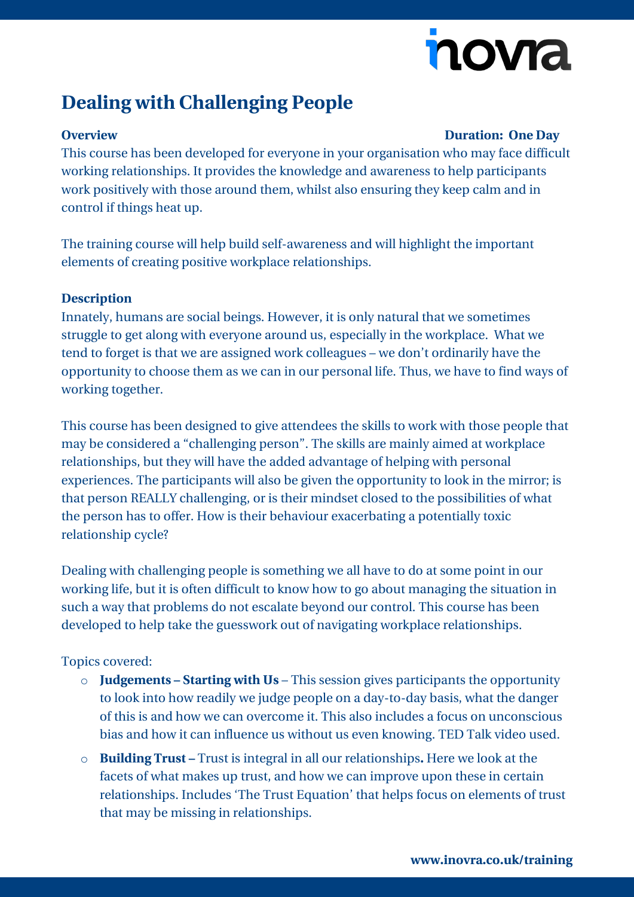# novia

## **Dealing with Challenging People**

#### **Overview Duration: One Day**

This course has been developed for everyone in your organisation who may face difficult working relationships. It provides the knowledge and awareness to help participants work positively with those around them, whilst also ensuring they keep calm and in control if things heat up.

The training course will help build self-awareness and will highlight the important elements of creating positive workplace relationships.

### **Description**

Innately, humans are social beings. However, it is only natural that we sometimes struggle to get along with everyone around us, especially in the workplace. What we tend to forget is that we are assigned work colleagues – we don't ordinarily have the opportunity to choose them as we can in our personal life. Thus, we have to find ways of working together.

This course has been designed to give attendees the skills to work with those people that may be considered a "challenging person". The skills are mainly aimed at workplace relationships, but they will have the added advantage of helping with personal experiences. The participants will also be given the opportunity to look in the mirror; is that person REALLY challenging, or is their mindset closed to the possibilities of what the person has to offer. How is their behaviour exacerbating a potentially toxic relationship cycle?

Dealing with challenging people is something we all have to do at some point in our working life, but it is often difficult to know how to go about managing the situation in such a way that problems do not escalate beyond our control. This course has been developed to help take the guesswork out of navigating workplace relationships.

### Topics covered:

- o **Judgements – Starting with Us** This session gives participants the opportunity to look into how readily we judge people on a day-to-day basis, what the danger of this is and how we can overcome it. This also includes a focus on unconscious bias and how it can influence us without us even knowing. TED Talk video used.
- o **Building Trust –** Trust is integral in all our relationships**.** Here we look at the facets of what makes up trust, and how we can improve upon these in certain relationships. Includes 'The Trust Equation' that helps focus on elements of trust that may be missing in relationships.